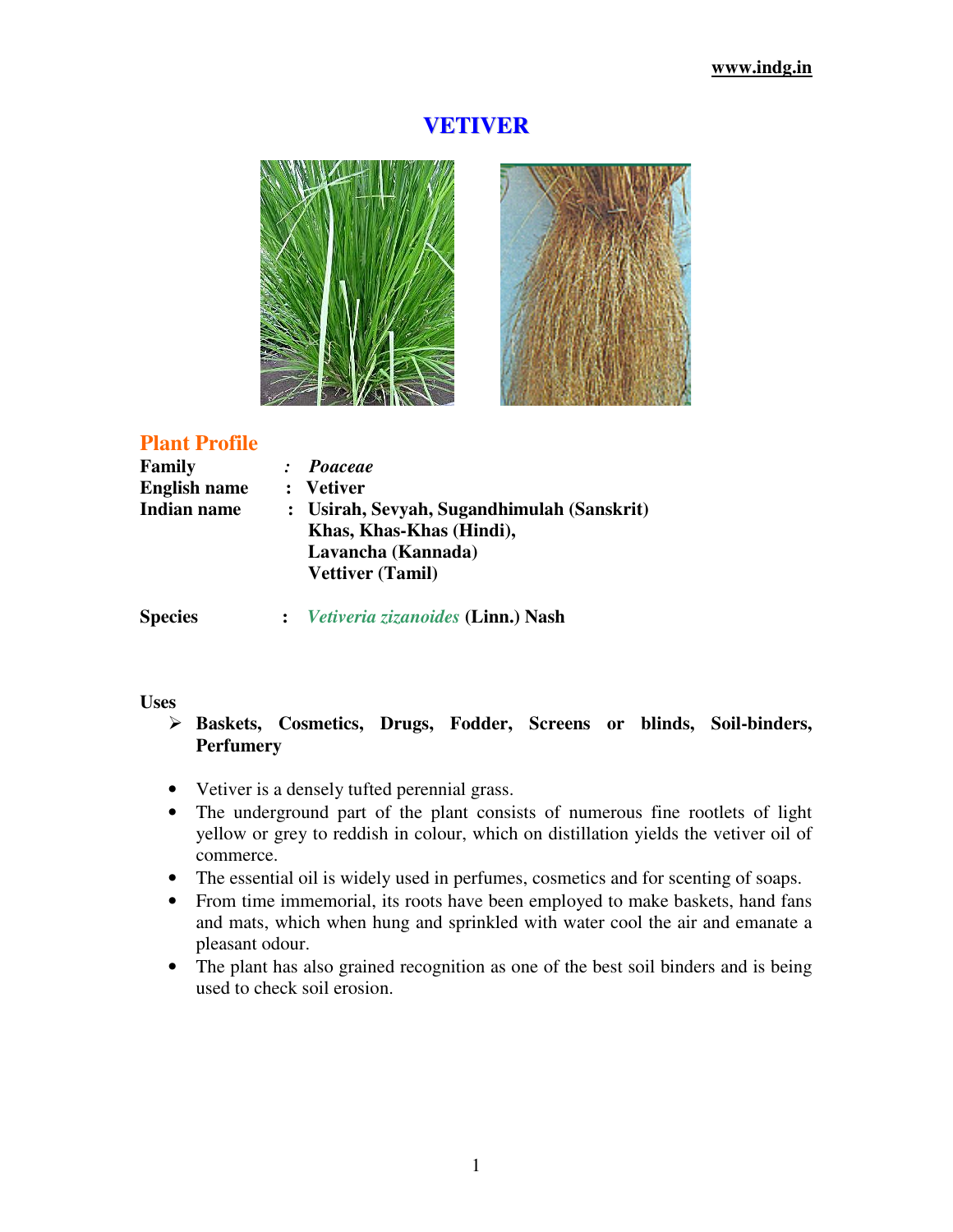# **VETIVER**



# **Plant Profile**

| Family              | : Poaceae                                  |
|---------------------|--------------------------------------------|
| <b>English name</b> | : Vetiver                                  |
| <b>Indian name</b>  | : Usirah, Sevyah, Sugandhimulah (Sanskrit) |
|                     | Khas, Khas-Khas (Hindi),                   |
|                     | Lavancha (Kannada)                         |
|                     | <b>Vettiver (Tamil)</b>                    |
|                     |                                            |

**Species :** *Vetiveria zizanoides* **(Linn.) Nash** 

# **Uses**

- **Baskets, Cosmetics, Drugs, Fodder, Screens or blinds, Soil-binders, Perfumery**
- Vetiver is a densely tufted perennial grass.
- The underground part of the plant consists of numerous fine rootlets of light yellow or grey to reddish in colour, which on distillation yields the vetiver oil of commerce.
- The essential oil is widely used in perfumes, cosmetics and for scenting of soaps.
- From time immemorial, its roots have been employed to make baskets, hand fans and mats, which when hung and sprinkled with water cool the air and emanate a pleasant odour.
- The plant has also grained recognition as one of the best soil binders and is being used to check soil erosion.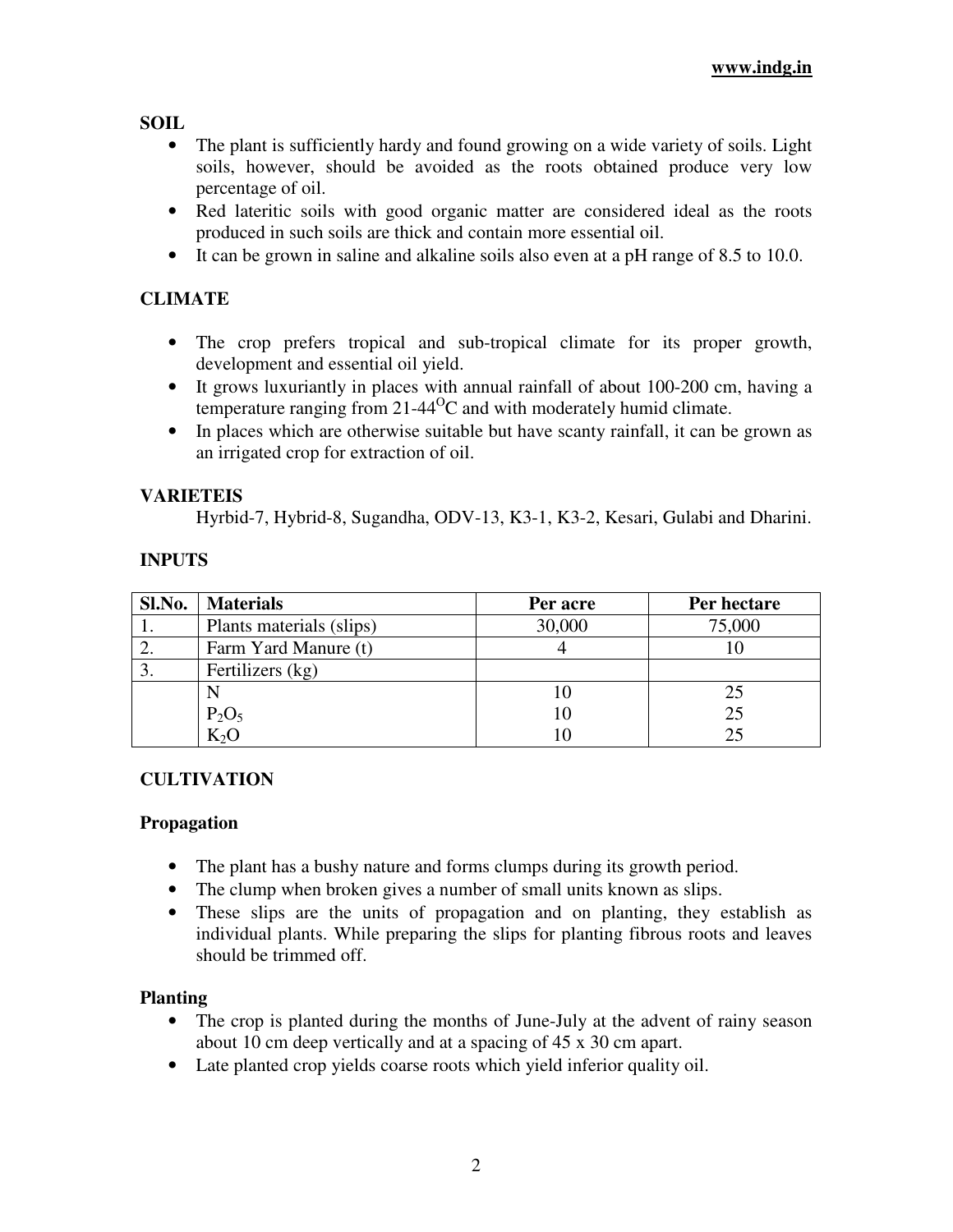**SOIL** 

- The plant is sufficiently hardy and found growing on a wide variety of soils. Light soils, however, should be avoided as the roots obtained produce very low percentage of oil.
- Red lateritic soils with good organic matter are considered ideal as the roots produced in such soils are thick and contain more essential oil.
- It can be grown in saline and alkaline soils also even at a pH range of 8.5 to 10.0.

# **CLIMATE**

- The crop prefers tropical and sub-tropical climate for its proper growth, development and essential oil yield.
- It grows luxuriantly in places with annual rainfall of about 100-200 cm, having a temperature ranging from  $21-44^{\circ}$ C and with moderately humid climate.
- In places which are otherwise suitable but have scanty rainfall, it can be grown as an irrigated crop for extraction of oil.

# **VARIETEIS**

Hyrbid-7, Hybrid-8, Sugandha, ODV-13, K3-1, K3-2, Kesari, Gulabi and Dharini.

# **INPUTS**

| Sl.No. | <b>Materials</b>         | Per acre | Per hectare |
|--------|--------------------------|----------|-------------|
|        | Plants materials (slips) | 30,000   | 75,000      |
|        | Farm Yard Manure (t)     |          |             |
|        | Fertilizers (kg)         |          |             |
|        |                          | 10       | 25          |
|        | $P_2O_5$                 | 10       | 25          |
|        | $K_2O$                   |          | 25          |

# **CULTIVATION**

# **Propagation**

- The plant has a bushy nature and forms clumps during its growth period.
- The clump when broken gives a number of small units known as slips.
- These slips are the units of propagation and on planting, they establish as individual plants. While preparing the slips for planting fibrous roots and leaves should be trimmed off.

# **Planting**

- The crop is planted during the months of June-July at the advent of rainy season about 10 cm deep vertically and at a spacing of 45 x 30 cm apart.
- Late planted crop yields coarse roots which yield inferior quality oil.